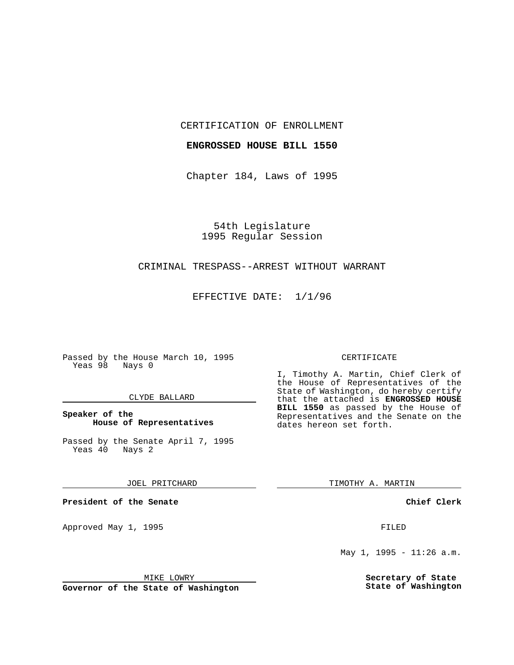CERTIFICATION OF ENROLLMENT

## **ENGROSSED HOUSE BILL 1550**

Chapter 184, Laws of 1995

54th Legislature 1995 Regular Session

# CRIMINAL TRESPASS--ARREST WITHOUT WARRANT

EFFECTIVE DATE: 1/1/96

Passed by the House March 10, 1995 Yeas 98 Nays 0

### CLYDE BALLARD

## **Speaker of the House of Representatives**

Passed by the Senate April 7, 1995<br>Yeas 40 Nays 2  $Yeas$  40

JOEL PRITCHARD

**President of the Senate**

Approved May 1, 1995 **FILED** 

MIKE LOWRY

**Governor of the State of Washington**

#### CERTIFICATE

I, Timothy A. Martin, Chief Clerk of the House of Representatives of the State of Washington, do hereby certify that the attached is **ENGROSSED HOUSE BILL 1550** as passed by the House of Representatives and the Senate on the dates hereon set forth.

TIMOTHY A. MARTIN

**Chief Clerk**

May 1, 1995 - 11:26 a.m.

**Secretary of State State of Washington**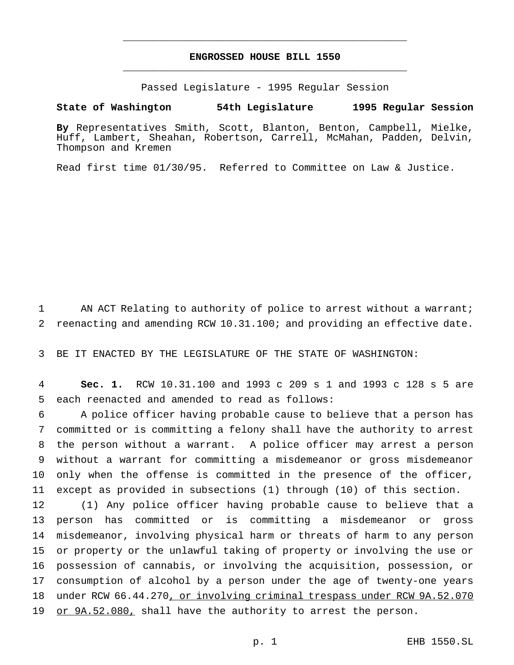# **ENGROSSED HOUSE BILL 1550** \_\_\_\_\_\_\_\_\_\_\_\_\_\_\_\_\_\_\_\_\_\_\_\_\_\_\_\_\_\_\_\_\_\_\_\_\_\_\_\_\_\_\_\_\_\_\_

\_\_\_\_\_\_\_\_\_\_\_\_\_\_\_\_\_\_\_\_\_\_\_\_\_\_\_\_\_\_\_\_\_\_\_\_\_\_\_\_\_\_\_\_\_\_\_

Passed Legislature - 1995 Regular Session

#### **State of Washington 54th Legislature 1995 Regular Session**

**By** Representatives Smith, Scott, Blanton, Benton, Campbell, Mielke, Huff, Lambert, Sheahan, Robertson, Carrell, McMahan, Padden, Delvin, Thompson and Kremen

Read first time 01/30/95. Referred to Committee on Law & Justice.

1 AN ACT Relating to authority of police to arrest without a warrant; 2 reenacting and amending RCW 10.31.100; and providing an effective date.

3 BE IT ENACTED BY THE LEGISLATURE OF THE STATE OF WASHINGTON:

4 **Sec. 1.** RCW 10.31.100 and 1993 c 209 s 1 and 1993 c 128 s 5 are 5 each reenacted and amended to read as follows:

 A police officer having probable cause to believe that a person has committed or is committing a felony shall have the authority to arrest the person without a warrant. A police officer may arrest a person without a warrant for committing a misdemeanor or gross misdemeanor only when the offense is committed in the presence of the officer, except as provided in subsections (1) through (10) of this section.

 (1) Any police officer having probable cause to believe that a person has committed or is committing a misdemeanor or gross misdemeanor, involving physical harm or threats of harm to any person or property or the unlawful taking of property or involving the use or possession of cannabis, or involving the acquisition, possession, or consumption of alcohol by a person under the age of twenty-one years 18 under RCW 66.44.270, or involving criminal trespass under RCW 9A.52.070 19 or 9A.52.080, shall have the authority to arrest the person.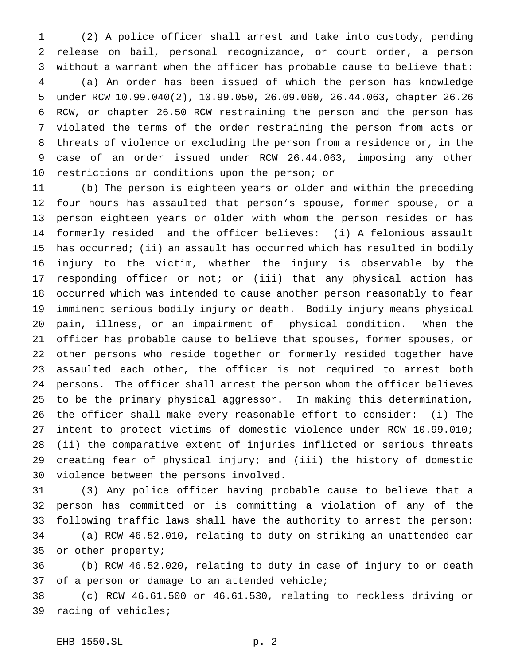(2) A police officer shall arrest and take into custody, pending release on bail, personal recognizance, or court order, a person without a warrant when the officer has probable cause to believe that: (a) An order has been issued of which the person has knowledge under RCW 10.99.040(2), 10.99.050, 26.09.060, 26.44.063, chapter 26.26 RCW, or chapter 26.50 RCW restraining the person and the person has violated the terms of the order restraining the person from acts or threats of violence or excluding the person from a residence or, in the case of an order issued under RCW 26.44.063, imposing any other restrictions or conditions upon the person; or

 (b) The person is eighteen years or older and within the preceding four hours has assaulted that person's spouse, former spouse, or a person eighteen years or older with whom the person resides or has formerly resided and the officer believes: (i) A felonious assault has occurred; (ii) an assault has occurred which has resulted in bodily injury to the victim, whether the injury is observable by the responding officer or not; or (iii) that any physical action has occurred which was intended to cause another person reasonably to fear imminent serious bodily injury or death. Bodily injury means physical pain, illness, or an impairment of physical condition. When the officer has probable cause to believe that spouses, former spouses, or other persons who reside together or formerly resided together have assaulted each other, the officer is not required to arrest both persons. The officer shall arrest the person whom the officer believes to be the primary physical aggressor. In making this determination, the officer shall make every reasonable effort to consider: (i) The intent to protect victims of domestic violence under RCW 10.99.010; (ii) the comparative extent of injuries inflicted or serious threats creating fear of physical injury; and (iii) the history of domestic violence between the persons involved.

 (3) Any police officer having probable cause to believe that a person has committed or is committing a violation of any of the following traffic laws shall have the authority to arrest the person: (a) RCW 46.52.010, relating to duty on striking an unattended car or other property;

 (b) RCW 46.52.020, relating to duty in case of injury to or death of a person or damage to an attended vehicle;

 (c) RCW 46.61.500 or 46.61.530, relating to reckless driving or racing of vehicles;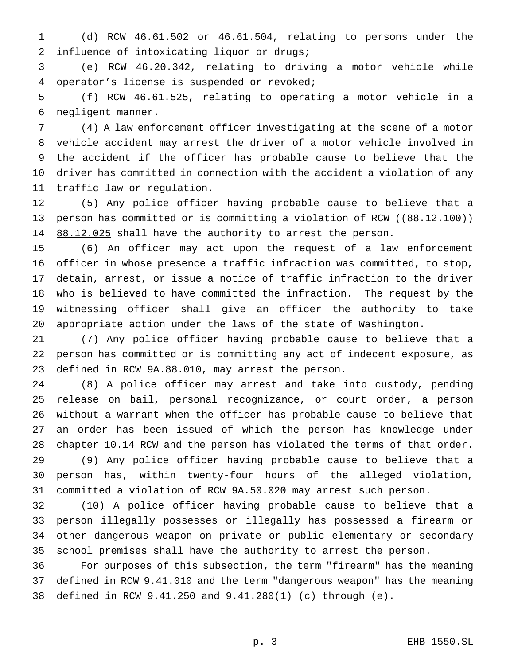(d) RCW 46.61.502 or 46.61.504, relating to persons under the influence of intoxicating liquor or drugs;

 (e) RCW 46.20.342, relating to driving a motor vehicle while operator's license is suspended or revoked;

 (f) RCW 46.61.525, relating to operating a motor vehicle in a negligent manner.

 (4) A law enforcement officer investigating at the scene of a motor vehicle accident may arrest the driver of a motor vehicle involved in the accident if the officer has probable cause to believe that the driver has committed in connection with the accident a violation of any traffic law or regulation.

 (5) Any police officer having probable cause to believe that a 13 person has committed or is committing a violation of RCW ((88.12.100)) 14 88.12.025 shall have the authority to arrest the person.

 (6) An officer may act upon the request of a law enforcement officer in whose presence a traffic infraction was committed, to stop, detain, arrest, or issue a notice of traffic infraction to the driver who is believed to have committed the infraction. The request by the witnessing officer shall give an officer the authority to take appropriate action under the laws of the state of Washington.

 (7) Any police officer having probable cause to believe that a person has committed or is committing any act of indecent exposure, as defined in RCW 9A.88.010, may arrest the person.

 (8) A police officer may arrest and take into custody, pending release on bail, personal recognizance, or court order, a person without a warrant when the officer has probable cause to believe that an order has been issued of which the person has knowledge under chapter 10.14 RCW and the person has violated the terms of that order.

 (9) Any police officer having probable cause to believe that a person has, within twenty-four hours of the alleged violation, committed a violation of RCW 9A.50.020 may arrest such person.

 (10) A police officer having probable cause to believe that a person illegally possesses or illegally has possessed a firearm or other dangerous weapon on private or public elementary or secondary school premises shall have the authority to arrest the person.

 For purposes of this subsection, the term "firearm" has the meaning defined in RCW 9.41.010 and the term "dangerous weapon" has the meaning defined in RCW 9.41.250 and 9.41.280(1) (c) through (e).